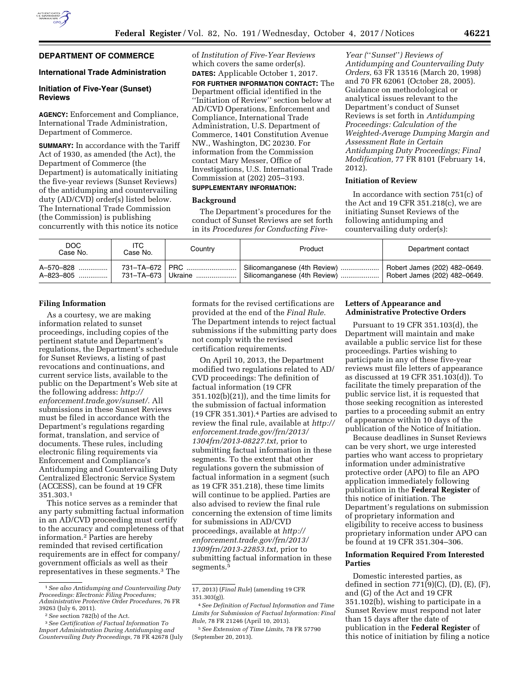# **DEPARTMENT OF COMMERCE**

### **International Trade Administration**

## **Initiation of Five-Year (Sunset) Reviews**

**AGENCY:** Enforcement and Compliance, International Trade Administration, Department of Commerce.

**SUMMARY:** In accordance with the Tariff Act of 1930, as amended (the Act), the Department of Commerce (the Department) is automatically initiating the five-year reviews (Sunset Reviews) of the antidumping and countervailing duty (AD/CVD) order(s) listed below. The International Trade Commission (the Commission) is publishing concurrently with this notice its notice

of *Institution of Five-Year Reviews*  which covers the same order(s). **DATES:** Applicable October 1, 2017.

**FOR FURTHER INFORMATION CONTACT:** The Department official identified in the ''Initiation of Review'' section below at AD/CVD Operations, Enforcement and Compliance, International Trade Administration, U.S. Department of Commerce, 1401 Constitution Avenue NW., Washington, DC 20230. For information from the Commission contact Mary Messer, Office of Investigations, U.S. International Trade Commission at (202) 205–3193. **SUPPLEMENTARY INFORMATION:** 

### **Background**

The Department's procedures for the conduct of Sunset Reviews are set forth in its *Procedures for Conducting Five-*

*Year (*''*Sunset*''*) Reviews of Antidumping and Countervailing Duty Orders,* 63 FR 13516 (March 20, 1998) and 70 FR 62061 (October 28, 2005). Guidance on methodological or analytical issues relevant to the Department's conduct of Sunset Reviews is set forth in *Antidumping Proceedings: Calculation of the Weighted-Average Dumping Margin and Assessment Rate in Certain Antidumping Duty Proceedings; Final Modification,* 77 FR 8101 (February 14, 2012).

# **Initiation of Review**

In accordance with section 751(c) of the Act and 19 CFR 351.218(c), we are initiating Sunset Reviews of the following antidumping and countervailing duty order(s):

| DOC.<br>Case No. | ITC<br>Case No. | Country              | Product                      | Department contact           |
|------------------|-----------------|----------------------|------------------------------|------------------------------|
| A-570-828        |                 | 731-TA-672   PRC     | Silicomanganese (4th Review) | Robert James (202) 482-0649. |
| A-823-805        |                 | 731–TA–673   Ukraine | Silicomanganese (4th Review) | Robert James (202) 482-0649. |

### **Filing Information**

As a courtesy, we are making information related to sunset proceedings, including copies of the pertinent statute and Department's regulations, the Department's schedule for Sunset Reviews, a listing of past revocations and continuations, and current service lists, available to the public on the Department's Web site at the following address: *[http://](http://enforcement.trade.gov/sunset/) [enforcement.trade.gov/sunset/.](http://enforcement.trade.gov/sunset/)* All submissions in these Sunset Reviews must be filed in accordance with the Department's regulations regarding format, translation, and service of documents. These rules, including electronic filing requirements via Enforcement and Compliance's Antidumping and Countervailing Duty Centralized Electronic Service System (ACCESS), can be found at 19 CFR 351.303.1

This notice serves as a reminder that any party submitting factual information in an AD/CVD proceeding must certify to the accuracy and completeness of that information.2 Parties are hereby reminded that revised certification requirements are in effect for company/ government officials as well as their representatives in these segments.3 The

formats for the revised certifications are provided at the end of the *Final Rule.*  The Department intends to reject factual submissions if the submitting party does not comply with the revised certification requirements.

On April 10, 2013, the Department modified two regulations related to AD/ CVD proceedings: The definition of factual information (19 CFR 351.102(b)(21)), and the time limits for the submission of factual information (19 CFR 351.301).4 Parties are advised to review the final rule, available at *[http://](http://enforcement.trade.gov/frn/2013/1304frn/2013-08227.txt)  [enforcement.trade.gov/frn/2013/](http://enforcement.trade.gov/frn/2013/1304frn/2013-08227.txt)  [1304frn/2013-08227.txt,](http://enforcement.trade.gov/frn/2013/1304frn/2013-08227.txt)* prior to submitting factual information in these segments. To the extent that other regulations govern the submission of factual information in a segment (such as 19 CFR 351.218), these time limits will continue to be applied. Parties are also advised to review the final rule concerning the extension of time limits for submissions in AD/CVD proceedings, available at *[http://](http://enforcement.trade.gov/frn/2013/1309frn/2013-22853.txt) [enforcement.trade.gov/frn/2013/](http://enforcement.trade.gov/frn/2013/1309frn/2013-22853.txt)  [1309frn/2013-22853.txt,](http://enforcement.trade.gov/frn/2013/1309frn/2013-22853.txt)* prior to submitting factual information in these segments.5

## **Letters of Appearance and Administrative Protective Orders**

Pursuant to 19 CFR 351.103(d), the Department will maintain and make available a public service list for these proceedings. Parties wishing to participate in any of these five-year reviews must file letters of appearance as discussed at 19 CFR 351.103(d)). To facilitate the timely preparation of the public service list, it is requested that those seeking recognition as interested parties to a proceeding submit an entry of appearance within 10 days of the publication of the Notice of Initiation.

Because deadlines in Sunset Reviews can be very short, we urge interested parties who want access to proprietary information under administrative protective order (APO) to file an APO application immediately following publication in the **Federal Register** of this notice of initiation. The Department's regulations on submission of proprietary information and eligibility to receive access to business proprietary information under APO can be found at 19 CFR 351.304–306.

## **Information Required From Interested Parties**

Domestic interested parties, as defined in section  $771(9)(C)$ ,  $(D)$ ,  $(E)$ ,  $(F)$ , and (G) of the Act and 19 CFR 351.102(b), wishing to participate in a Sunset Review must respond not later than 15 days after the date of publication in the **Federal Register** of this notice of initiation by filing a notice

<sup>1</sup>*See also Antidumping and Countervailing Duty Proceedings: Electronic Filing Procedures; Administrative Protective Order Procedures,* 76 FR

<sup>39263 (</sup>July 6, 2011). 2*See* section 782(b) of the Act. 3*See Certification of Factual Information To Import Administration During Antidumping and Countervailing Duty Proceedings,* 78 FR 42678 (July

<sup>17, 2013) (</sup>*Final Rule*) (amending 19 CFR 351.303(g)).

<sup>4</sup>*See Definition of Factual Information and Time Limits for Submission of Factual Information: Final Rule,* 78 FR 21246 (April 10, 2013).

<sup>5</sup>*See Extension of Time Limits,* 78 FR 57790 (September 20, 2013).